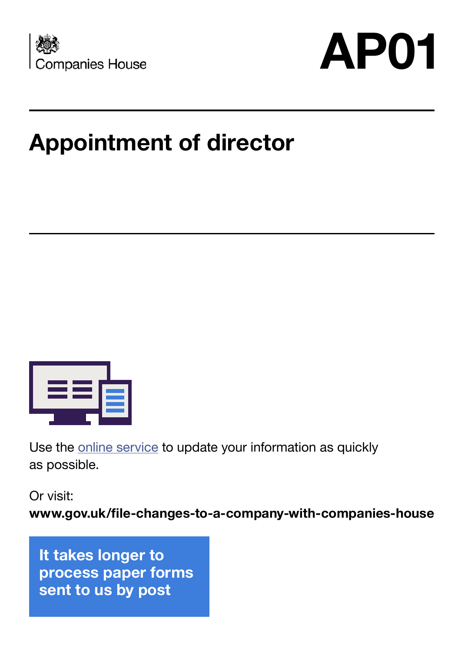

# **AP01**

# **Appointment of director**



Use the [online service](https://www.gov.uk/file-changes-to-a-company-with-companies-house) to update your information as quickly as possible.

Or visit:

**www.gov.uk/file-changes-to-a-company-with-companies-house**

**It takes longer to process paper forms sent to us by post**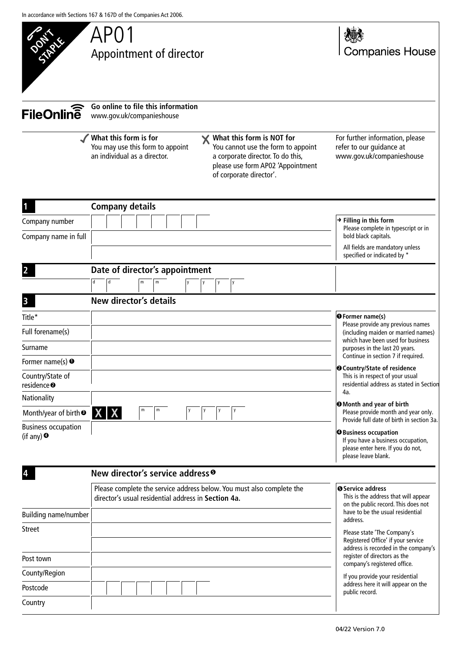

| For further information, please |
|---------------------------------|
| refer to our guidance at        |
| www.gov.uk/companieshouse       |

**Companies House** 

| $\mathbf{1}$                                     | <b>Company details</b>                                                                                                       |                                                                                                                                |
|--------------------------------------------------|------------------------------------------------------------------------------------------------------------------------------|--------------------------------------------------------------------------------------------------------------------------------|
| Company number                                   |                                                                                                                              | $\rightarrow$ Filling in this form<br>Please complete in typescript or in                                                      |
| Company name in full                             |                                                                                                                              | bold black capitals.                                                                                                           |
|                                                  |                                                                                                                              | All fields are mandatory unless<br>specified or indicated by *                                                                 |
| $\overline{2}$                                   | Date of director's appointment                                                                                               |                                                                                                                                |
|                                                  | d<br>d<br>m<br>${\sf m}$<br>у<br>у                                                                                           |                                                                                                                                |
| $\overline{\mathbf{3}}$                          | New director's details                                                                                                       |                                                                                                                                |
| Title*                                           |                                                                                                                              | <b>O</b> Former name(s)<br>Please provide any previous names                                                                   |
| Full forename(s)                                 |                                                                                                                              | (including maiden or married names)                                                                                            |
| Surname                                          |                                                                                                                              | which have been used for business<br>purposes in the last 20 years.                                                            |
| Former name(s) $\bullet$                         |                                                                                                                              | Continue in section 7 if required.<br><b>@</b> Country/State of residence                                                      |
| Country/State of<br>residence <sup>®</sup>       |                                                                                                                              | This is in respect of your usual<br>residential address as stated in Section                                                   |
| Nationality                                      |                                                                                                                              | 4a.<br><b>O</b> Month and year of birth                                                                                        |
| Month/year of birth <sup>®</sup>                 | m<br><b>XX</b>                                                                                                               | Please provide month and year only.<br>Provide full date of birth in section 3a.                                               |
| <b>Business occupation</b><br>(if any) $\bullet$ |                                                                                                                              | <b>O</b> Business occupation<br>If you have a business occupation,<br>please enter here. If you do not,<br>please leave blank. |
| 4                                                | New director's service address <sup>o</sup>                                                                                  |                                                                                                                                |
|                                                  | Please complete the service address below. You must also complete the<br>director's usual residential address in Section 4a. | <b>O</b> Service address<br>This is the address that will appear<br>on the public record. This does not                        |
| Building name/number                             |                                                                                                                              | have to be the usual residential<br>address.                                                                                   |
| <b>Street</b>                                    |                                                                                                                              | Please state 'The Company's<br>Registered Office' if your service<br>address is recorded in the company's                      |
| Post town                                        |                                                                                                                              | register of directors as the<br>company's registered office.                                                                   |
| County/Region                                    |                                                                                                                              | If you provide your residential                                                                                                |
| Postcode                                         |                                                                                                                              | address here it will appear on the<br>public record.                                                                           |
| Country                                          |                                                                                                                              |                                                                                                                                |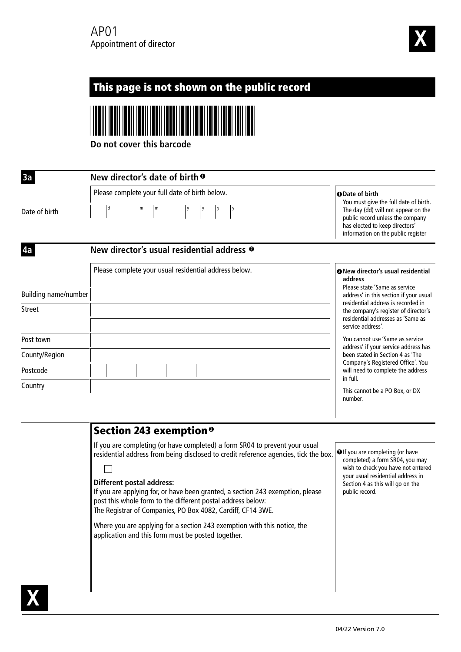

#### This page is not shown on the public record **Do not cover this barcode 3a New director's date of birth 1** Please complete your full date of birth below. **Date of birth 1** You must give the full date of birth. Date of birth The day (dd) will not appear on the public record unless the company has elected to keep directors' information on the public register **4a New director's usual residential address 2** Please complete your usual residential address below. **New director's usual residential 2 address** Please state 'Same as service Building name/number address' in this section if your usual residential address is recorded in Street the company's register of director's residential addresses as 'Same as service address'. You cannot use 'Same as service Post town address' if your service address has County/Region been stated in Section 4 as 'The Company's Registered Office'. You Postcode will need to complete the address in full. Country This cannot be a PO Box, or DX number. Section 243 exemption **3** If you are completing (or have completed) a form SR04 to prevent your usual **D** If you are completing (or have residential address from being disclosed to credit reference agencies, tick the box. completed) a form SR04, you may wish to check you have not entered П your usual residential address in **Different postal address:** Section 4 as this will go on the If you are applying for, or have been granted, a section 243 exemption, please public record. post this whole form to the different postal address below: The Registrar of Companies, PO Box 4082, Cardiff, CF14 3WE. Where you are applying for a section 243 exemption with this notice, the application and this form must be posted together. **X**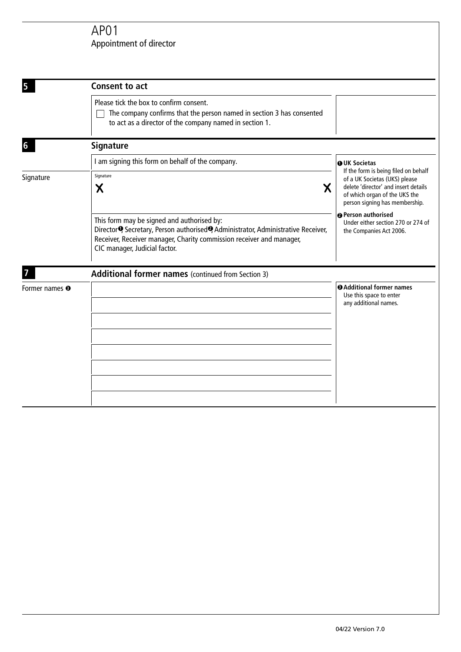## Appointment of director AP01

| <b>Consent to act</b>                                                                                                                                                                                                                                              |                                                                                                                                                                                  |  |
|--------------------------------------------------------------------------------------------------------------------------------------------------------------------------------------------------------------------------------------------------------------------|----------------------------------------------------------------------------------------------------------------------------------------------------------------------------------|--|
| Please tick the box to confirm consent.<br>The company confirms that the person named in section 3 has consented<br>to act as a director of the company named in section 1.                                                                                        |                                                                                                                                                                                  |  |
| <b>Signature</b>                                                                                                                                                                                                                                                   |                                                                                                                                                                                  |  |
| I am signing this form on behalf of the company.                                                                                                                                                                                                                   | <b>OUK Societas</b>                                                                                                                                                              |  |
| Signature<br>X<br>X                                                                                                                                                                                                                                                | If the form is being filed on behalf<br>of a UK Societas (UKS) please<br>delete 'director' and insert details<br>of which organ of the UKS the<br>person signing has membership. |  |
| This form may be signed and authorised by:<br>Director <sup>o</sup> , Secretary, Person authorised <sup>o</sup> , Administrator, Administrative Receiver,<br>Receiver, Receiver manager, Charity commission receiver and manager,<br>CIC manager, Judicial factor. | <b>O</b> Person authorised<br>Under either section 270 or 274 of<br>the Companies Act 2006.                                                                                      |  |
| Additional former names (continued from Section 3)                                                                                                                                                                                                                 |                                                                                                                                                                                  |  |
|                                                                                                                                                                                                                                                                    | <b>@Additional former names</b><br>Use this space to enter<br>any additional names.                                                                                              |  |
|                                                                                                                                                                                                                                                                    |                                                                                                                                                                                  |  |